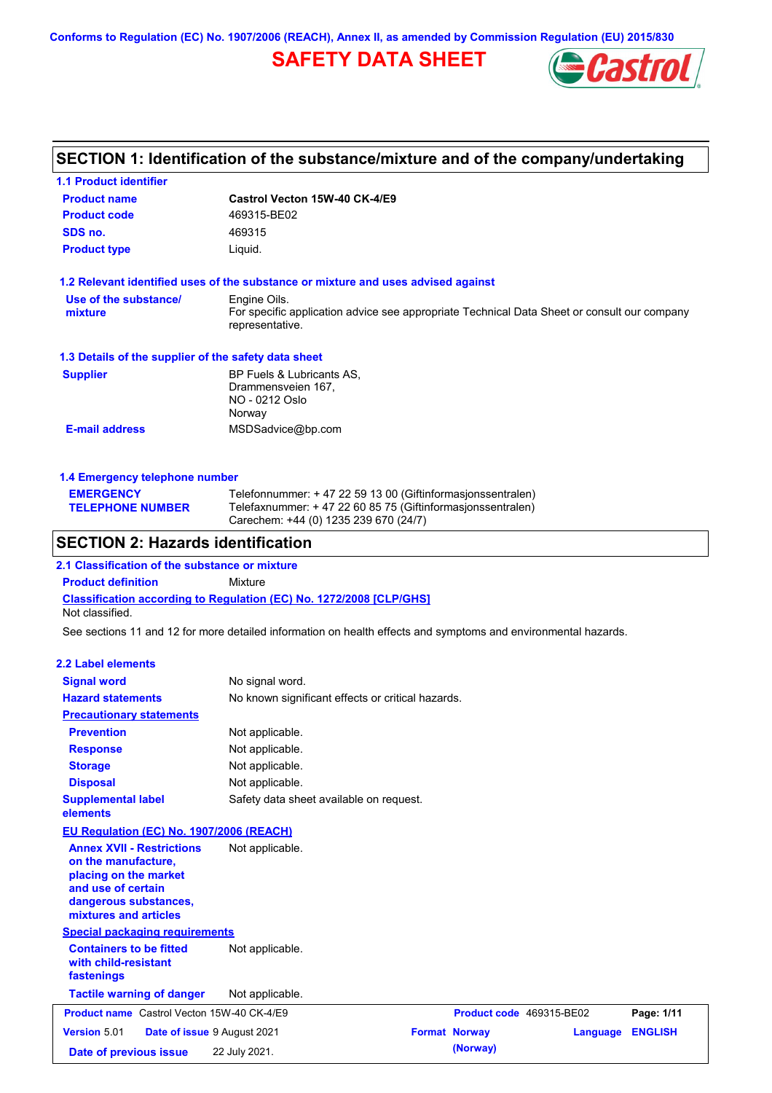**Conforms to Regulation (EC) No. 1907/2006 (REACH), Annex II, as amended by Commission Regulation (EU) 2015/830**

# **SAFETY DATA SHEET**



# **SECTION 1: Identification of the substance/mixture and of the company/undertaking**

| <b>1.1 Product identifier</b>                        |                                                                                                                |
|------------------------------------------------------|----------------------------------------------------------------------------------------------------------------|
| <b>Product name</b>                                  | Castrol Vecton 15W-40 CK-4/E9                                                                                  |
| <b>Product code</b>                                  | 469315-BE02                                                                                                    |
| SDS no.                                              | 469315                                                                                                         |
| <b>Product type</b>                                  | Liquid.                                                                                                        |
|                                                      | 1.2 Relevant identified uses of the substance or mixture and uses advised against                              |
| Use of the substance/                                | Engine Oils.                                                                                                   |
| mixture                                              | For specific application advice see appropriate Technical Data Sheet or consult our company<br>representative. |
| 1.3 Details of the supplier of the safety data sheet |                                                                                                                |
| <b>Supplier</b>                                      | BP Fuels & Lubricants AS.                                                                                      |
|                                                      | Drammensveien 167.                                                                                             |
|                                                      | NO - 0212 Oslo<br>Norway                                                                                       |
| <b>E-mail address</b>                                | MSDSadvice@bp.com                                                                                              |
| 1.4 Emergency telephone number                       |                                                                                                                |
| <b>EMERGENCY</b>                                     | Telefonnummer: +47 22 59 13 00 (Giftinformasjonssentralen)                                                     |
| <b>TELEPHONE NUMBER</b>                              | Telefaxnummer: + 47 22 60 85 75 (Giftinformasjonssentralen)                                                    |
|                                                      | Carechem: +44 (0) 1235 239 670 (24/7)                                                                          |
| <b>SECTION 2: Hazards identification</b>             |                                                                                                                |
|                                                      |                                                                                                                |

**2.1 Classification of the substance or mixture Product definition** Mixture

**Classification according to Regulation (EC) No. 1272/2008 [CLP/GHS]** Not classified.

See sections 11 and 12 for more detailed information on health effects and symptoms and environmental hazards.

| <b>2.2 Label elements</b> |
|---------------------------|
|---------------------------|

| <b>Signal word</b>                                                                                                                                       | No signal word.                                                                          |
|----------------------------------------------------------------------------------------------------------------------------------------------------------|------------------------------------------------------------------------------------------|
| <b>Hazard statements</b>                                                                                                                                 | No known significant effects or critical hazards.                                        |
| <b>Precautionary statements</b>                                                                                                                          |                                                                                          |
| <b>Prevention</b>                                                                                                                                        | Not applicable.                                                                          |
| <b>Response</b>                                                                                                                                          | Not applicable.                                                                          |
| <b>Storage</b>                                                                                                                                           | Not applicable.                                                                          |
| <b>Disposal</b>                                                                                                                                          | Not applicable.                                                                          |
| <b>Supplemental label</b><br>elements                                                                                                                    | Safety data sheet available on request.                                                  |
| EU Regulation (EC) No. 1907/2006 (REACH)                                                                                                                 |                                                                                          |
| <b>Annex XVII - Restrictions</b><br>on the manufacture,<br>placing on the market<br>and use of certain<br>dangerous substances,<br>mixtures and articles | Not applicable.                                                                          |
| <b>Special packaging requirements</b>                                                                                                                    |                                                                                          |
| <b>Containers to be fitted</b><br>with child-resistant<br>fastenings                                                                                     | Not applicable.                                                                          |
| <b>Tactile warning of danger</b>                                                                                                                         | Not applicable.                                                                          |
| <b>Product name</b> Castrol Vecton 15W-40 CK-4/E9                                                                                                        | Page: 1/11<br>Product code 469315-BE02                                                   |
| Version 5.01                                                                                                                                             | <b>Format Norway</b><br><b>ENGLISH</b><br><b>Date of issue 9 August 2021</b><br>Language |
| Date of previous issue                                                                                                                                   | (Norway)<br>22 July 2021.                                                                |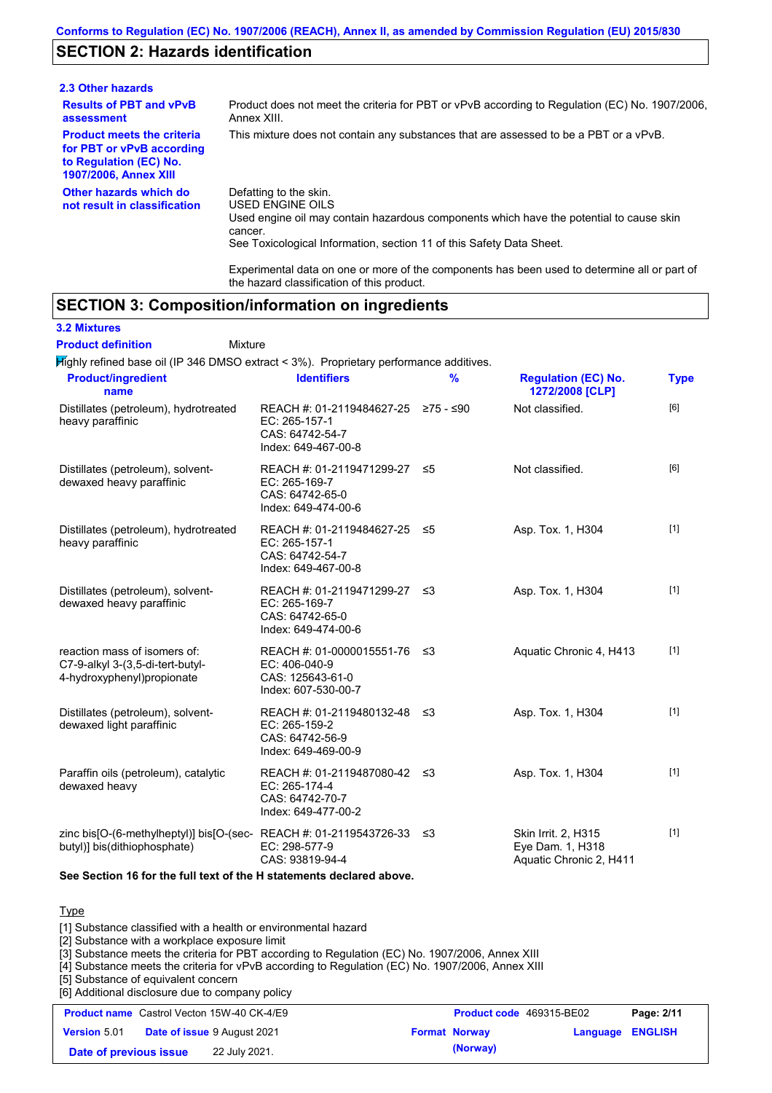# **SECTION 2: Hazards identification**

| 2.3 Other hazards                                                                                                        |                                                                                                                                                                                                                          |
|--------------------------------------------------------------------------------------------------------------------------|--------------------------------------------------------------------------------------------------------------------------------------------------------------------------------------------------------------------------|
| <b>Results of PBT and vPvB</b><br>assessment                                                                             | Product does not meet the criteria for PBT or vPvB according to Regulation (EC) No. 1907/2006,<br>Annex XIII.                                                                                                            |
| <b>Product meets the criteria</b><br>for PBT or vPvB according<br>to Regulation (EC) No.<br><b>1907/2006, Annex XIII</b> | This mixture does not contain any substances that are assessed to be a PBT or a vPvB.                                                                                                                                    |
| Other hazards which do<br>not result in classification                                                                   | Defatting to the skin.<br>USED ENGINE OILS<br>Used engine oil may contain hazardous components which have the potential to cause skin<br>cancer.<br>See Toxicological Information, section 11 of this Safety Data Sheet. |

Experimental data on one or more of the components has been used to determine all or part of the hazard classification of this product.

# **SECTION 3: Composition/information on ingredients**

### **3.2 Mixtures**

Mixture **Product definition**

 $H$ ighly refined base oil (IP 346 DMSO extract < 3%). Proprietary performance additives.

| <b>Product/ingredient</b><br>name                                                                    | <b>Identifiers</b>                                                                             | $\frac{9}{6}$ | <b>Regulation (EC) No.</b><br>1272/2008 [CLP]                      | <b>Type</b> |
|------------------------------------------------------------------------------------------------------|------------------------------------------------------------------------------------------------|---------------|--------------------------------------------------------------------|-------------|
| Distillates (petroleum), hydrotreated<br>heavy paraffinic                                            | REACH #: 01-2119484627-25 ≥75 - ≤90<br>EC: 265-157-1<br>CAS: 64742-54-7<br>Index: 649-467-00-8 |               | Not classified.                                                    | [6]         |
| Distillates (petroleum), solvent-<br>dewaxed heavy paraffinic                                        | REACH #: 01-2119471299-27 ≤5<br>EC: 265-169-7<br>CAS: 64742-65-0<br>Index: 649-474-00-6        |               | Not classified.                                                    | [6]         |
| Distillates (petroleum), hydrotreated<br>heavy paraffinic                                            | REACH #: 01-2119484627-25 ≤5<br>EC: 265-157-1<br>CAS: 64742-54-7<br>Index: 649-467-00-8        |               | Asp. Tox. 1, H304                                                  | $[1]$       |
| Distillates (petroleum), solvent-<br>dewaxed heavy paraffinic                                        | REACH #: 01-2119471299-27 ≤3<br>EC: 265-169-7<br>CAS: 64742-65-0<br>Index: 649-474-00-6        |               | Asp. Tox. 1, H304                                                  | $[1]$       |
| reaction mass of isomers of:<br>C7-9-alkyl 3-(3,5-di-tert-butyl-<br>4-hydroxyphenyl) propionate      | REACH #: 01-0000015551-76 ≤3<br>EC: 406-040-9<br>CAS: 125643-61-0<br>Index: 607-530-00-7       |               | Aquatic Chronic 4, H413                                            | $[1]$       |
| Distillates (petroleum), solvent-<br>dewaxed light paraffinic                                        | REACH #: 01-2119480132-48 ≤3<br>EC: 265-159-2<br>CAS: 64742-56-9<br>Index: 649-469-00-9        |               | Asp. Tox. 1, H304                                                  | $[1]$       |
| Paraffin oils (petroleum), catalytic<br>dewaxed heavy                                                | REACH #: 01-2119487080-42 ≤3<br>EC: 265-174-4<br>CAS: 64742-70-7<br>Index: 649-477-00-2        |               | Asp. Tox. 1, H304                                                  | $[1]$       |
| zinc bis[O-(6-methylheptyl)] bis[O-(sec-REACH #: 01-2119543726-33 ≤3<br>butyl)] bis(dithiophosphate) | EC: 298-577-9<br>CAS: 93819-94-4                                                               |               | Skin Irrit. 2, H315<br>Eye Dam. 1, H318<br>Aquatic Chronic 2, H411 | $[1]$       |

**See Section 16 for the full text of the H statements declared above.**

[1] Substance classified with a health or environmental hazard

[2] Substance with a workplace exposure limit

[3] Substance meets the criteria for PBT according to Regulation (EC) No. 1907/2006, Annex XIII

[4] Substance meets the criteria for vPvB according to Regulation (EC) No. 1907/2006, Annex XIII

[5] Substance of equivalent concern

[6] Additional disclosure due to company policy

|                        | <b>Product name</b> Castrol Vecton 15W-40 CK-4/E9 | <b>Product code</b> 469315-BE02 |                         | Page: 2/11 |
|------------------------|---------------------------------------------------|---------------------------------|-------------------------|------------|
| <b>Version 5.01</b>    | <b>Date of issue 9 August 2021</b>                | <b>Format Norway</b>            | <b>Language ENGLISH</b> |            |
| Date of previous issue | 22 July 2021.                                     | (Norway)                        |                         |            |

**Type**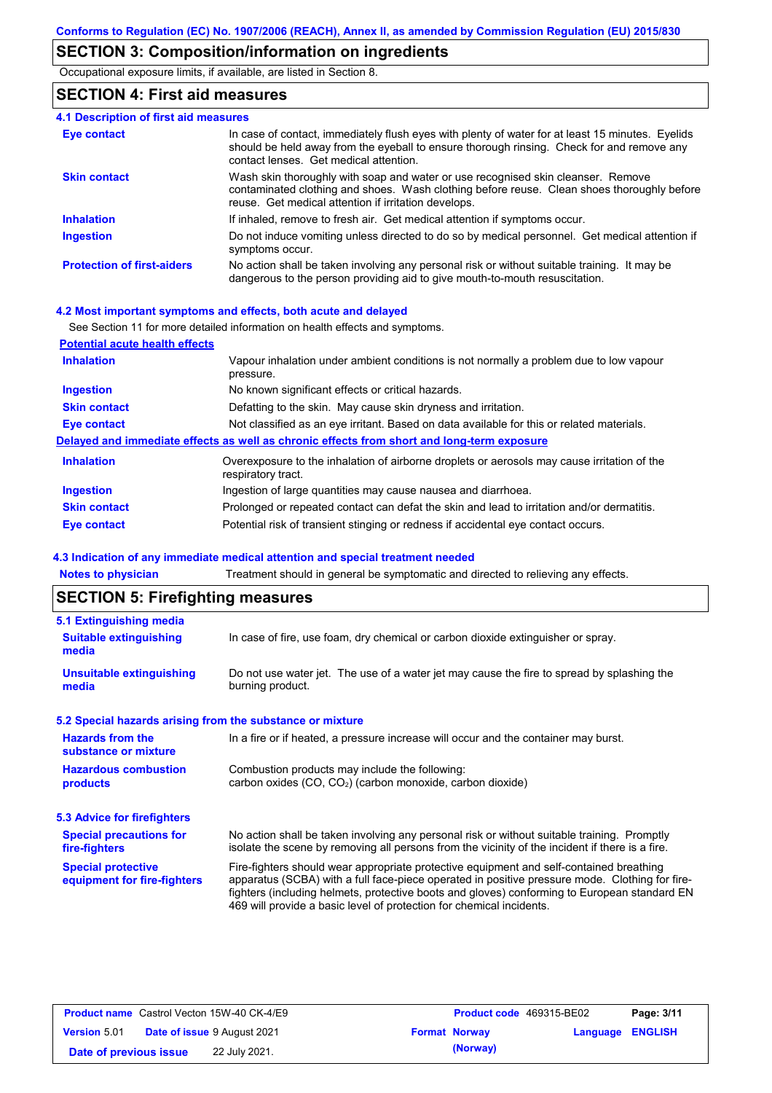## **SECTION 3: Composition/information on ingredients**

Occupational exposure limits, if available, are listed in Section 8.

### **SECTION 4: First aid measures**

| <b>4.1 Description of first aid measures</b> |                                                                                                                                                                                                                                         |
|----------------------------------------------|-----------------------------------------------------------------------------------------------------------------------------------------------------------------------------------------------------------------------------------------|
| Eye contact                                  | In case of contact, immediately flush eyes with plenty of water for at least 15 minutes. Eyelids<br>should be held away from the eyeball to ensure thorough rinsing. Check for and remove any<br>contact lenses. Get medical attention. |
| <b>Skin contact</b>                          | Wash skin thoroughly with soap and water or use recognised skin cleanser. Remove<br>contaminated clothing and shoes. Wash clothing before reuse. Clean shoes thoroughly before<br>reuse. Get medical attention if irritation develops.  |
| <b>Inhalation</b>                            | If inhaled, remove to fresh air. Get medical attention if symptoms occur.                                                                                                                                                               |
| <b>Ingestion</b>                             | Do not induce vomiting unless directed to do so by medical personnel. Get medical attention if<br>symptoms occur.                                                                                                                       |
| <b>Protection of first-aiders</b>            | No action shall be taken involving any personal risk or without suitable training. It may be<br>dangerous to the person providing aid to give mouth-to-mouth resuscitation.                                                             |

### **4.2 Most important symptoms and effects, both acute and delayed**

See Section 11 for more detailed information on health effects and symptoms.

| <b>Potential acute health effects</b> |                                                                                                                   |
|---------------------------------------|-------------------------------------------------------------------------------------------------------------------|
| <b>Inhalation</b>                     | Vapour inhalation under ambient conditions is not normally a problem due to low vapour<br>pressure.               |
| <b>Ingestion</b>                      | No known significant effects or critical hazards.                                                                 |
| <b>Skin contact</b>                   | Defatting to the skin. May cause skin dryness and irritation.                                                     |
| Eye contact                           | Not classified as an eye irritant. Based on data available for this or related materials.                         |
|                                       | Delayed and immediate effects as well as chronic effects from short and long-term exposure                        |
| <b>Inhalation</b>                     | Overexposure to the inhalation of airborne droplets or aerosols may cause irritation of the<br>respiratory tract. |
| <b>Ingestion</b>                      | Ingestion of large quantities may cause nausea and diarrhoea.                                                     |
| <b>Skin contact</b>                   | Prolonged or repeated contact can defat the skin and lead to irritation and/or dermatitis.                        |
| <b>Eye contact</b>                    | Potential risk of transient stinging or redness if accidental eye contact occurs.                                 |

#### **4.3 Indication of any immediate medical attention and special treatment needed**

**Notes to physician** Treatment should in general be symptomatic and directed to relieving any effects. No action shall be taken involving any personal risk or without suitable training. Promptly isolate the scene by removing all persons from the vicinity of the incident if there is a fire. **Hazardous combustion products Hazards from the substance or mixture** Combustion products may include the following: carbon oxides (CO, CO2) (carbon monoxide, carbon dioxide) In a fire or if heated, a pressure increase will occur and the container may burst. Fire-fighters should wear appropriate protective equipment and self-contained breathing apparatus (SCBA) with a full face-piece operated in positive pressure mode. Clothing for fire-**Special protective equipment for fire-fighters** In case of fire, use foam, dry chemical or carbon dioxide extinguisher or spray. **5.1 Extinguishing media** Do not use water jet. The use of a water jet may cause the fire to spread by splashing the burning product. **Suitable extinguishing media Unsuitable extinguishing media SECTION 5: Firefighting measures 5.2 Special hazards arising from the substance or mixture 5.3 Advice for firefighters Special precautions for fire-fighters**

| <b>Product name</b> Castrol Vecton 15W-40 CK-4/E9 |                                    | <b>Product code</b> 469315-BE02 |                  | Page: 3/11 |
|---------------------------------------------------|------------------------------------|---------------------------------|------------------|------------|
| <b>Version 5.01</b>                               | <b>Date of issue 9 August 2021</b> | <b>Format Norway</b>            | Language ENGLISH |            |
| Date of previous issue                            | 22 July 2021.                      | (Norway)                        |                  |            |

469 will provide a basic level of protection for chemical incidents.

fighters (including helmets, protective boots and gloves) conforming to European standard EN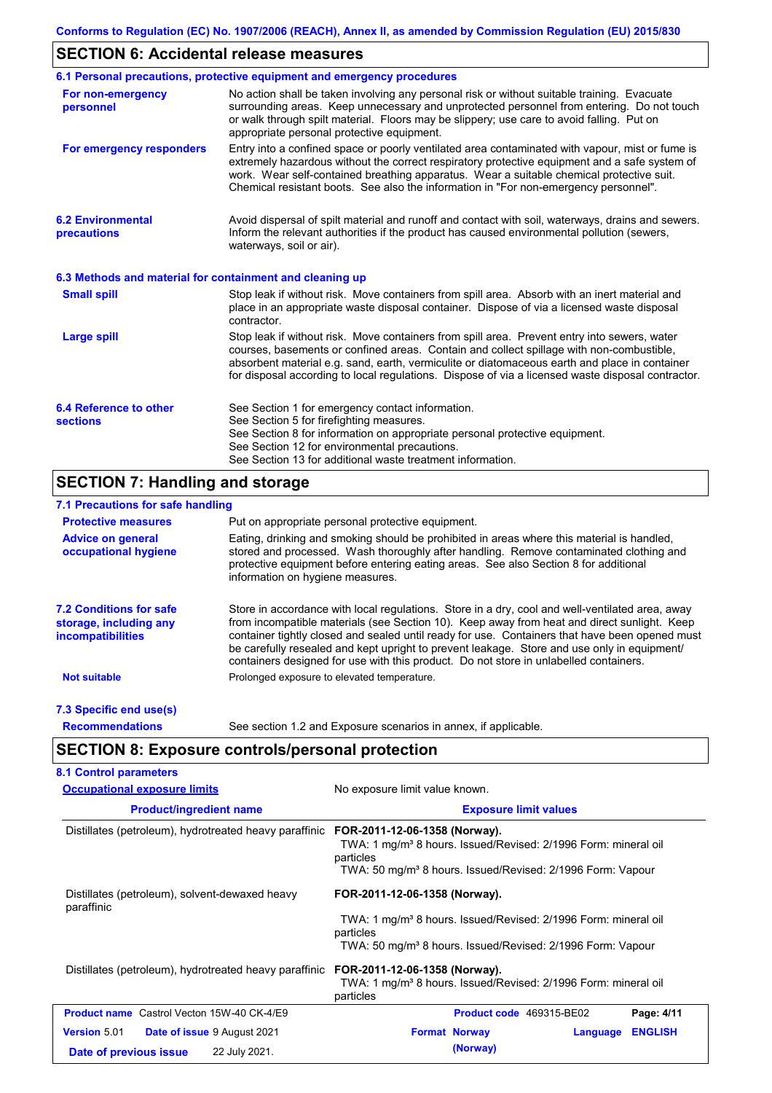# **SECTION 6: Accidental release measures**

|                                                          | 6.1 Personal precautions, protective equipment and emergency procedures                                                                                                                                                                                                                                                                                                                        |
|----------------------------------------------------------|------------------------------------------------------------------------------------------------------------------------------------------------------------------------------------------------------------------------------------------------------------------------------------------------------------------------------------------------------------------------------------------------|
| For non-emergency<br>personnel                           | No action shall be taken involving any personal risk or without suitable training. Evacuate<br>surrounding areas. Keep unnecessary and unprotected personnel from entering. Do not touch<br>or walk through spilt material. Floors may be slippery; use care to avoid falling. Put on<br>appropriate personal protective equipment.                                                            |
| For emergency responders                                 | Entry into a confined space or poorly ventilated area contaminated with vapour, mist or fume is<br>extremely hazardous without the correct respiratory protective equipment and a safe system of<br>work. Wear self-contained breathing apparatus. Wear a suitable chemical protective suit.<br>Chemical resistant boots. See also the information in "For non-emergency personnel".           |
| <b>6.2 Environmental</b><br>precautions                  | Avoid dispersal of spilt material and runoff and contact with soil, waterways, drains and sewers.<br>Inform the relevant authorities if the product has caused environmental pollution (sewers,<br>waterways, soil or air).                                                                                                                                                                    |
| 6.3 Methods and material for containment and cleaning up |                                                                                                                                                                                                                                                                                                                                                                                                |
| <b>Small spill</b>                                       | Stop leak if without risk. Move containers from spill area. Absorb with an inert material and<br>place in an appropriate waste disposal container. Dispose of via a licensed waste disposal<br>contractor.                                                                                                                                                                                     |
| <b>Large spill</b>                                       | Stop leak if without risk. Move containers from spill area. Prevent entry into sewers, water<br>courses, basements or confined areas. Contain and collect spillage with non-combustible,<br>absorbent material e.g. sand, earth, vermiculite or diatomaceous earth and place in container<br>for disposal according to local regulations. Dispose of via a licensed waste disposal contractor. |
| 6.4 Reference to other<br><b>sections</b>                | See Section 1 for emergency contact information.<br>See Section 5 for firefighting measures.<br>See Section 8 for information on appropriate personal protective equipment.<br>See Section 12 for environmental precautions.<br>See Section 13 for additional waste treatment information.                                                                                                     |

# **SECTION 7: Handling and storage**

# **7.1 Precautions for safe handling**

| <b>Protective measures</b>                                                           | Put on appropriate personal protective equipment.                                                                                                                                                                                                                                                                                                                                                                                                                                        |
|--------------------------------------------------------------------------------------|------------------------------------------------------------------------------------------------------------------------------------------------------------------------------------------------------------------------------------------------------------------------------------------------------------------------------------------------------------------------------------------------------------------------------------------------------------------------------------------|
| <b>Advice on general</b><br>occupational hygiene                                     | Eating, drinking and smoking should be prohibited in areas where this material is handled,<br>stored and processed. Wash thoroughly after handling. Remove contaminated clothing and<br>protective equipment before entering eating areas. See also Section 8 for additional<br>information on hygiene measures.                                                                                                                                                                         |
| <b>7.2 Conditions for safe</b><br>storage, including any<br><i>incompatibilities</i> | Store in accordance with local requiations. Store in a dry, cool and well-ventilated area, away<br>from incompatible materials (see Section 10). Keep away from heat and direct sunlight. Keep<br>container tightly closed and sealed until ready for use. Containers that have been opened must<br>be carefully resealed and kept upright to prevent leakage. Store and use only in equipment/<br>containers designed for use with this product. Do not store in unlabelled containers. |
| <b>Not suitable</b>                                                                  | Prolonged exposure to elevated temperature.                                                                                                                                                                                                                                                                                                                                                                                                                                              |
| 7.3 Specific end use(s)                                                              |                                                                                                                                                                                                                                                                                                                                                                                                                                                                                          |
| <b>Recommendations</b>                                                               | See section 1.2 and Exposure scenarios in annex, if applicable.                                                                                                                                                                                                                                                                                                                                                                                                                          |

# **SECTION 8: Exposure controls/personal protection**

| <b>Occupational exposure limits</b>                          | No exposure limit value known.                                                                                                                                                                     |  |  |  |  |
|--------------------------------------------------------------|----------------------------------------------------------------------------------------------------------------------------------------------------------------------------------------------------|--|--|--|--|
| <b>Product/ingredient name</b>                               | <b>Exposure limit values</b>                                                                                                                                                                       |  |  |  |  |
| Distillates (petroleum), hydrotreated heavy paraffinic       | FOR-2011-12-06-1358 (Norway).<br>TWA: 1 mg/m <sup>3</sup> 8 hours. Issued/Revised: 2/1996 Form: mineral oil<br>particles<br>TWA: 50 mg/m <sup>3</sup> 8 hours. Issued/Revised: 2/1996 Form: Vapour |  |  |  |  |
| Distillates (petroleum), solvent-dewaxed heavy<br>paraffinic | FOR-2011-12-06-1358 (Norway).<br>TWA: 1 mg/m <sup>3</sup> 8 hours. Issued/Revised: 2/1996 Form: mineral oil<br>particles                                                                           |  |  |  |  |
| Distillates (petroleum), hydrotreated heavy paraffinic       | TWA: 50 mg/m <sup>3</sup> 8 hours. Issued/Revised: 2/1996 Form: Vapour<br>FOR-2011-12-06-1358 (Norway).<br>TWA: 1 mg/m <sup>3</sup> 8 hours. Issued/Revised: 2/1996 Form: mineral oil<br>particles |  |  |  |  |
| <b>Product name</b> Castrol Vecton 15W-40 CK-4/E9            | Product code 469315-BE02<br>Page: 4/11                                                                                                                                                             |  |  |  |  |
| <b>Version 5.01</b><br><b>Date of issue 9 August 2021</b>    | <b>ENGLISH</b><br><b>Format Norway</b><br>Language                                                                                                                                                 |  |  |  |  |
| 22 July 2021.<br>Date of previous issue                      | (Norway)                                                                                                                                                                                           |  |  |  |  |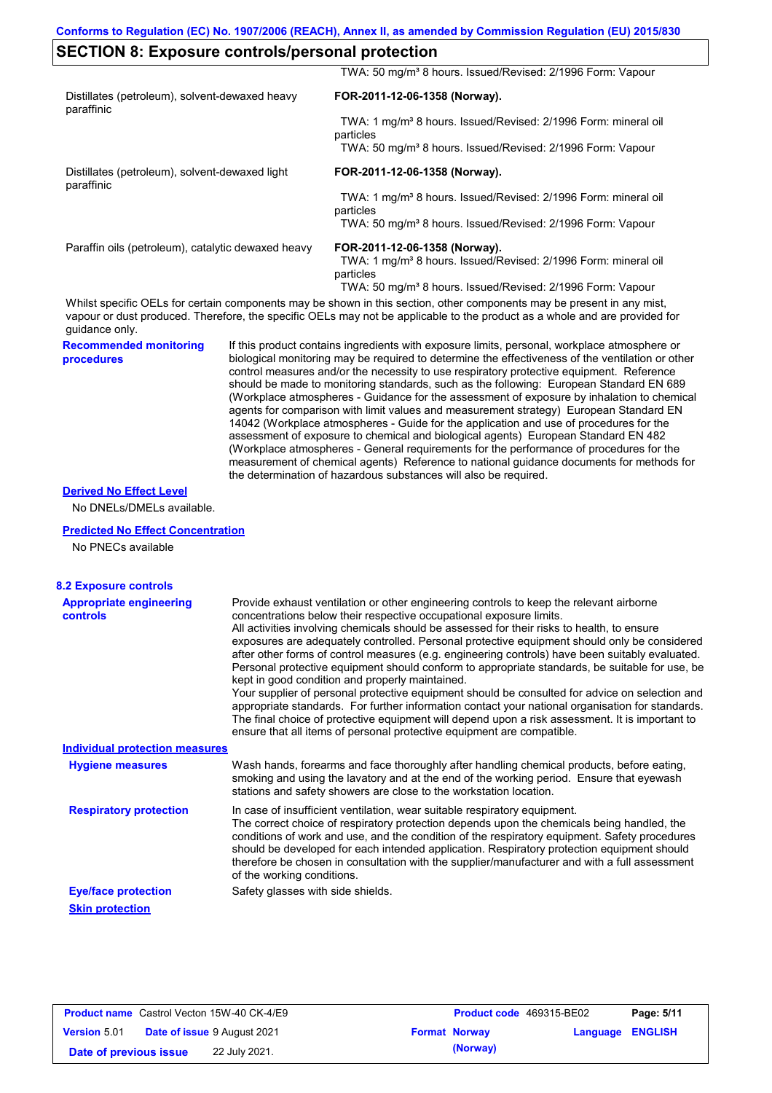### **SECTION 8: Exposure controls/personal protection**

|                                                                                                                                                                                                                                                                                                                                                                                                                                        |  | TWA: 50 mg/m <sup>3</sup> 8 hours. Issued/Revised: 2/1996 Form: Vapour                                                                                                                                                                               |  |
|----------------------------------------------------------------------------------------------------------------------------------------------------------------------------------------------------------------------------------------------------------------------------------------------------------------------------------------------------------------------------------------------------------------------------------------|--|------------------------------------------------------------------------------------------------------------------------------------------------------------------------------------------------------------------------------------------------------|--|
| Distillates (petroleum), solvent-dewaxed heavy<br>paraffinic                                                                                                                                                                                                                                                                                                                                                                           |  | FOR-2011-12-06-1358 (Norway).                                                                                                                                                                                                                        |  |
|                                                                                                                                                                                                                                                                                                                                                                                                                                        |  | TWA: 1 mg/m <sup>3</sup> 8 hours. Issued/Revised: 2/1996 Form: mineral oil<br>particles                                                                                                                                                              |  |
|                                                                                                                                                                                                                                                                                                                                                                                                                                        |  | TWA: 50 mg/m <sup>3</sup> 8 hours. Issued/Revised: 2/1996 Form: Vapour                                                                                                                                                                               |  |
| Distillates (petroleum), solvent-dewaxed light<br>paraffinic                                                                                                                                                                                                                                                                                                                                                                           |  | FOR-2011-12-06-1358 (Norway).                                                                                                                                                                                                                        |  |
|                                                                                                                                                                                                                                                                                                                                                                                                                                        |  | TWA: 1 mg/m <sup>3</sup> 8 hours. Issued/Revised: 2/1996 Form: mineral oil<br>particles                                                                                                                                                              |  |
|                                                                                                                                                                                                                                                                                                                                                                                                                                        |  | TWA: 50 mg/m <sup>3</sup> 8 hours. Issued/Revised: 2/1996 Form: Vapour                                                                                                                                                                               |  |
| Paraffin oils (petroleum), catalytic dewaxed heavy                                                                                                                                                                                                                                                                                                                                                                                     |  | FOR-2011-12-06-1358 (Norway).                                                                                                                                                                                                                        |  |
|                                                                                                                                                                                                                                                                                                                                                                                                                                        |  | TWA: 1 mg/m <sup>3</sup> 8 hours. Issued/Revised: 2/1996 Form: mineral oil<br>particles                                                                                                                                                              |  |
|                                                                                                                                                                                                                                                                                                                                                                                                                                        |  | TWA: 50 mg/m <sup>3</sup> 8 hours. Issued/Revised: 2/1996 Form: Vapour                                                                                                                                                                               |  |
| guidance only.                                                                                                                                                                                                                                                                                                                                                                                                                         |  | Whilst specific OELs for certain components may be shown in this section, other components may be present in any mist,<br>vapour or dust produced. Therefore, the specific OELs may not be applicable to the product as a whole and are provided for |  |
| If this product contains ingredients with exposure limits, personal, workplace atmosphere or<br><b>Recommended monitoring</b><br>biological monitoring may be required to determine the effectiveness of the ventilation or other<br>procedures<br>control measures and/or the necessity to use respiratory protective equipment. Reference<br>should be made to monitoring standards, such as the following: European Standard EN 689 |  |                                                                                                                                                                                                                                                      |  |

(Workplace atmospheres - Guidance for the assessment of exposure by inhalation to chemical agents for comparison with limit values and measurement strategy) European Standard EN 14042 (Workplace atmospheres - Guide for the application and use of procedures for the assessment of exposure to chemical and biological agents) European Standard EN 482 (Workplace atmospheres - General requirements for the performance of procedures for the measurement of chemical agents) Reference to national guidance documents for methods for the determination of hazardous substances will also be required.

#### **Derived No Effect Level**

No DNELs/DMELs available.

### **Predicted No Effect Concentration**

No PNECs available

#### In case of insufficient ventilation, wear suitable respiratory equipment. The correct choice of respiratory protection depends upon the chemicals being handled, the conditions of work and use, and the condition of the respiratory equipment. Safety procedures should be developed for each intended application. Respiratory protection equipment should therefore be chosen in consultation with the supplier/manufacturer and with a full assessment of the working conditions. **Eye/face protection** Safety glasses with side shields. **Respiratory protection Skin protection Appropriate engineering controls** Provide exhaust ventilation or other engineering controls to keep the relevant airborne concentrations below their respective occupational exposure limits. All activities involving chemicals should be assessed for their risks to health, to ensure exposures are adequately controlled. Personal protective equipment should only be considered after other forms of control measures (e.g. engineering controls) have been suitably evaluated. Personal protective equipment should conform to appropriate standards, be suitable for use, be kept in good condition and properly maintained. Your supplier of personal protective equipment should be consulted for advice on selection and appropriate standards. For further information contact your national organisation for standards. The final choice of protective equipment will depend upon a risk assessment. It is important to ensure that all items of personal protective equipment are compatible. Wash hands, forearms and face thoroughly after handling chemical products, before eating, smoking and using the lavatory and at the end of the working period. Ensure that eyewash stations and safety showers are close to the workstation location. **8.2 Exposure controls Hygiene measures Individual protection measures**

| <b>Product name</b> Castrol Vecton 15W-40 CK-4/E9 |                                    | <b>Product code</b> 469315-BE02 |                         | Page: 5/11 |
|---------------------------------------------------|------------------------------------|---------------------------------|-------------------------|------------|
| <b>Version</b> 5.01                               | <b>Date of issue 9 August 2021</b> | <b>Format Norway</b>            | <b>Language ENGLISH</b> |            |
| Date of previous issue                            | 22 July 2021.                      | (Norway)                        |                         |            |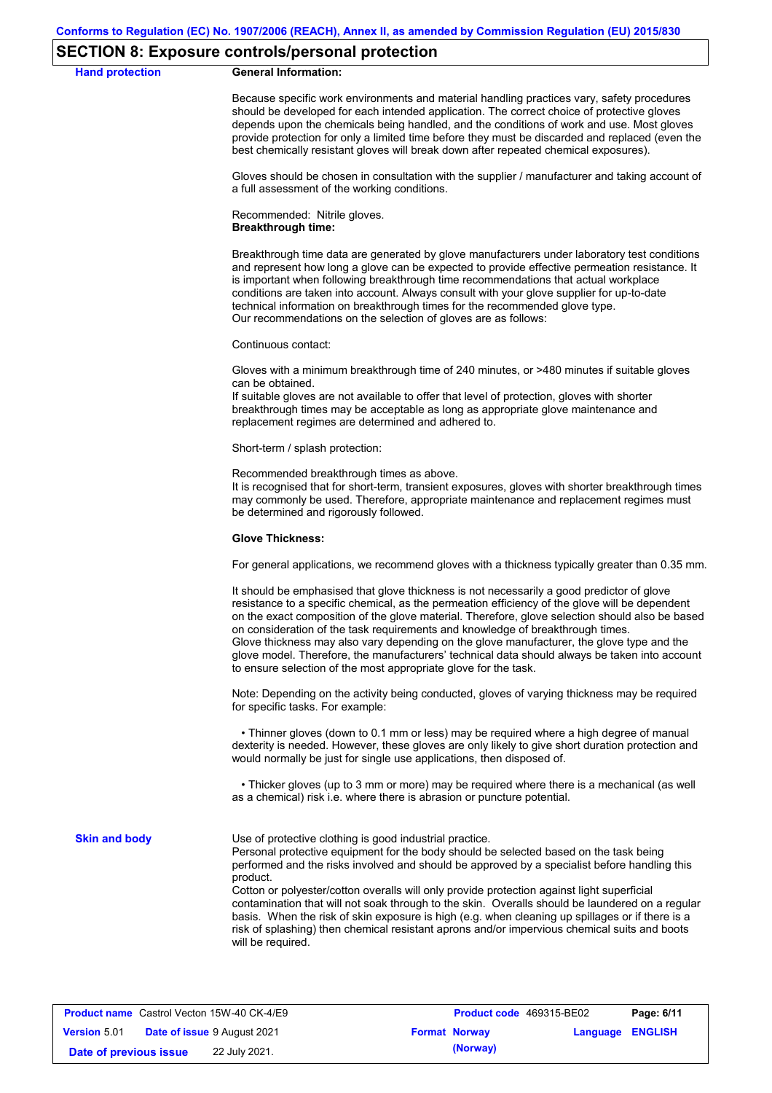### **SECTION 8: Exposure controls/personal protection**

#### **Hand protection General Information:**

Because specific work environments and material handling practices vary, safety procedures should be developed for each intended application. The correct choice of protective gloves depends upon the chemicals being handled, and the conditions of work and use. Most gloves provide protection for only a limited time before they must be discarded and replaced (even the best chemically resistant gloves will break down after repeated chemical exposures).

Gloves should be chosen in consultation with the supplier / manufacturer and taking account of a full assessment of the working conditions.

Recommended: Nitrile gloves. **Breakthrough time:**

Breakthrough time data are generated by glove manufacturers under laboratory test conditions and represent how long a glove can be expected to provide effective permeation resistance. It is important when following breakthrough time recommendations that actual workplace conditions are taken into account. Always consult with your glove supplier for up-to-date technical information on breakthrough times for the recommended glove type. Our recommendations on the selection of gloves are as follows:

Continuous contact:

Gloves with a minimum breakthrough time of 240 minutes, or >480 minutes if suitable gloves can be obtained.

If suitable gloves are not available to offer that level of protection, gloves with shorter breakthrough times may be acceptable as long as appropriate glove maintenance and replacement regimes are determined and adhered to.

Short-term / splash protection:

Recommended breakthrough times as above.

It is recognised that for short-term, transient exposures, gloves with shorter breakthrough times may commonly be used. Therefore, appropriate maintenance and replacement regimes must be determined and rigorously followed.

#### **Glove Thickness:**

For general applications, we recommend gloves with a thickness typically greater than 0.35 mm.

It should be emphasised that glove thickness is not necessarily a good predictor of glove resistance to a specific chemical, as the permeation efficiency of the glove will be dependent on the exact composition of the glove material. Therefore, glove selection should also be based on consideration of the task requirements and knowledge of breakthrough times. Glove thickness may also vary depending on the glove manufacturer, the glove type and the glove model. Therefore, the manufacturers' technical data should always be taken into account to ensure selection of the most appropriate glove for the task.

Note: Depending on the activity being conducted, gloves of varying thickness may be required for specific tasks. For example:

 • Thinner gloves (down to 0.1 mm or less) may be required where a high degree of manual dexterity is needed. However, these gloves are only likely to give short duration protection and would normally be just for single use applications, then disposed of.

 • Thicker gloves (up to 3 mm or more) may be required where there is a mechanical (as well as a chemical) risk i.e. where there is abrasion or puncture potential.

**Skin and body**

Use of protective clothing is good industrial practice.

Personal protective equipment for the body should be selected based on the task being performed and the risks involved and should be approved by a specialist before handling this product.

Cotton or polyester/cotton overalls will only provide protection against light superficial contamination that will not soak through to the skin. Overalls should be laundered on a regular basis. When the risk of skin exposure is high (e.g. when cleaning up spillages or if there is a risk of splashing) then chemical resistant aprons and/or impervious chemical suits and boots will be required.

|                        | <b>Product name</b> Castrol Vecton 15W-40 CK-4/E9 | <b>Product code</b> 469315-BE02 |                         | Page: 6/11 |
|------------------------|---------------------------------------------------|---------------------------------|-------------------------|------------|
| <b>Version 5.01</b>    | <b>Date of issue 9 August 2021</b>                | <b>Format Norway</b>            | <b>Language ENGLISH</b> |            |
| Date of previous issue | 22 July 2021.                                     | (Norway)                        |                         |            |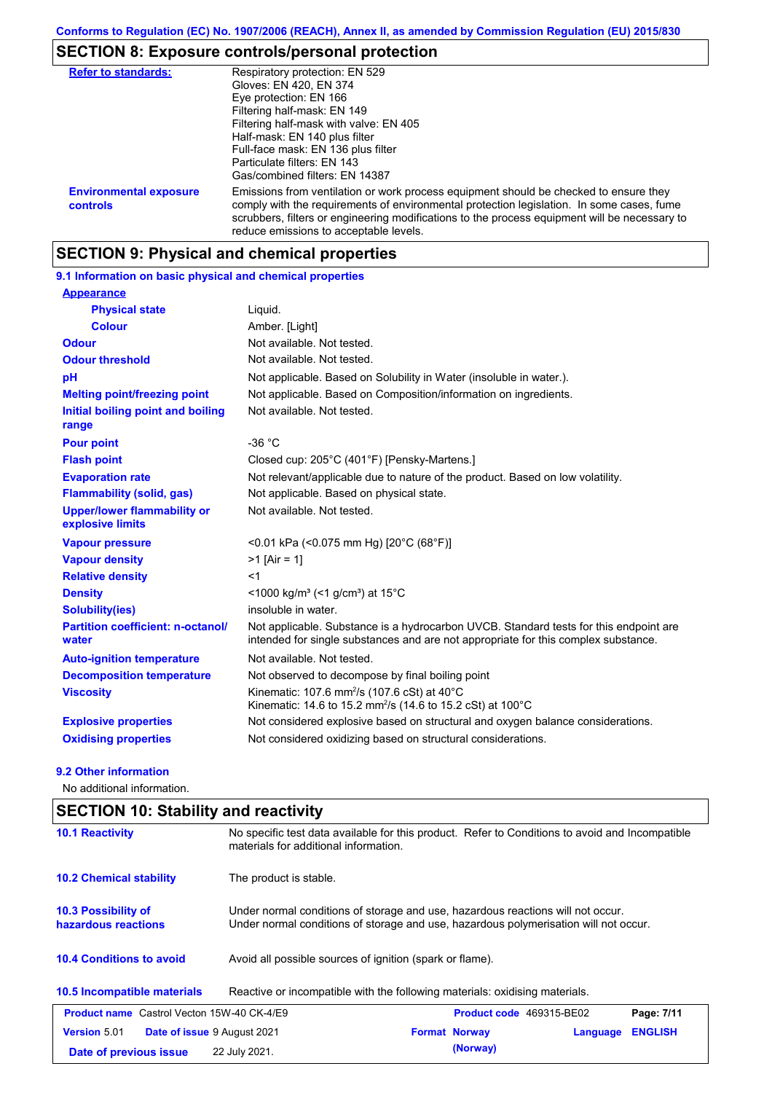# **SECTION 8: Exposure controls/personal protection**

| <b>Refer to standards:</b>                | Respiratory protection: EN 529                                                                                                                                                                                                                                                                                                |
|-------------------------------------------|-------------------------------------------------------------------------------------------------------------------------------------------------------------------------------------------------------------------------------------------------------------------------------------------------------------------------------|
|                                           | Gloves: EN 420, EN 374                                                                                                                                                                                                                                                                                                        |
|                                           | Eye protection: EN 166                                                                                                                                                                                                                                                                                                        |
|                                           | Filtering half-mask: EN 149                                                                                                                                                                                                                                                                                                   |
|                                           | Filtering half-mask with valve: EN 405                                                                                                                                                                                                                                                                                        |
|                                           | Half-mask: EN 140 plus filter                                                                                                                                                                                                                                                                                                 |
|                                           | Full-face mask: EN 136 plus filter                                                                                                                                                                                                                                                                                            |
|                                           | Particulate filters: EN 143                                                                                                                                                                                                                                                                                                   |
|                                           | Gas/combined filters: EN 14387                                                                                                                                                                                                                                                                                                |
| <b>Environmental exposure</b><br>controls | Emissions from ventilation or work process equipment should be checked to ensure they<br>comply with the requirements of environmental protection legislation. In some cases, fume<br>scrubbers, filters or engineering modifications to the process equipment will be necessary to<br>reduce emissions to acceptable levels. |

# **SECTION 9: Physical and chemical properties**

| 9.1 Information on basic physical and chemical properties |                                                                                                                                                                             |
|-----------------------------------------------------------|-----------------------------------------------------------------------------------------------------------------------------------------------------------------------------|
| <b>Appearance</b>                                         |                                                                                                                                                                             |
| <b>Physical state</b>                                     | Liquid.                                                                                                                                                                     |
| <b>Colour</b>                                             | Amber. [Light]                                                                                                                                                              |
| <b>Odour</b>                                              | Not available. Not tested.                                                                                                                                                  |
| <b>Odour threshold</b>                                    | Not available. Not tested.                                                                                                                                                  |
| pH                                                        | Not applicable. Based on Solubility in Water (insoluble in water.).                                                                                                         |
| <b>Melting point/freezing point</b>                       | Not applicable. Based on Composition/information on ingredients.                                                                                                            |
| Initial boiling point and boiling<br>range                | Not available. Not tested.                                                                                                                                                  |
| <b>Pour point</b>                                         | $-36 °C$                                                                                                                                                                    |
| <b>Flash point</b>                                        | Closed cup: 205°C (401°F) [Pensky-Martens.]                                                                                                                                 |
| <b>Evaporation rate</b>                                   | Not relevant/applicable due to nature of the product. Based on low volatility.                                                                                              |
| <b>Flammability (solid, gas)</b>                          | Not applicable. Based on physical state.                                                                                                                                    |
| <b>Upper/lower flammability or</b><br>explosive limits    | Not available. Not tested.                                                                                                                                                  |
| <b>Vapour pressure</b>                                    | <0.01 kPa (<0.075 mm Hg) [20°C (68°F)]                                                                                                                                      |
| <b>Vapour density</b>                                     | $>1$ [Air = 1]                                                                                                                                                              |
| <b>Relative density</b>                                   | $<$ 1                                                                                                                                                                       |
| <b>Density</b>                                            | <1000 kg/m <sup>3</sup> (<1 g/cm <sup>3</sup> ) at 15 <sup>°</sup> C                                                                                                        |
| <b>Solubility(ies)</b>                                    | insoluble in water.                                                                                                                                                         |
| <b>Partition coefficient: n-octanol/</b><br>water         | Not applicable. Substance is a hydrocarbon UVCB. Standard tests for this endpoint are<br>intended for single substances and are not appropriate for this complex substance. |
| <b>Auto-ignition temperature</b>                          | Not available. Not tested.                                                                                                                                                  |
| <b>Decomposition temperature</b>                          | Not observed to decompose by final boiling point                                                                                                                            |
| <b>Viscosity</b>                                          | Kinematic: 107.6 mm <sup>2</sup> /s (107.6 cSt) at 40°C<br>Kinematic: 14.6 to 15.2 mm <sup>2</sup> /s (14.6 to 15.2 cSt) at 100°C                                           |
| <b>Explosive properties</b>                               | Not considered explosive based on structural and oxygen balance considerations.                                                                                             |
| <b>Oxidising properties</b>                               | Not considered oxidizing based on structural considerations.                                                                                                                |

### **9.2 Other information**

No additional information.

| <b>SECTION 10: Stability and reactivity</b>                                                                                                                                                                                  |                                                                             |  |  |  |  |
|------------------------------------------------------------------------------------------------------------------------------------------------------------------------------------------------------------------------------|-----------------------------------------------------------------------------|--|--|--|--|
| No specific test data available for this product. Refer to Conditions to avoid and Incompatible<br><b>10.1 Reactivity</b><br>materials for additional information.                                                           |                                                                             |  |  |  |  |
| The product is stable.<br><b>10.2 Chemical stability</b>                                                                                                                                                                     |                                                                             |  |  |  |  |
| <b>10.3 Possibility of</b><br>Under normal conditions of storage and use, hazardous reactions will not occur.<br>Under normal conditions of storage and use, hazardous polymerisation will not occur.<br>hazardous reactions |                                                                             |  |  |  |  |
| <b>10.4 Conditions to avoid</b><br>Avoid all possible sources of ignition (spark or flame).                                                                                                                                  |                                                                             |  |  |  |  |
| 10.5 Incompatible materials                                                                                                                                                                                                  | Reactive or incompatible with the following materials: oxidising materials. |  |  |  |  |
| <b>Product name</b> Castrol Vecton 15W-40 CK-4/E9                                                                                                                                                                            | Product code 469315-BE02<br>Page: 7/11                                      |  |  |  |  |
| <b>Version 5.01</b><br><b>Date of issue 9 August 2021</b>                                                                                                                                                                    | <b>ENGLISH</b><br><b>Format Norway</b><br>Language                          |  |  |  |  |
| Date of previous issue                                                                                                                                                                                                       | (Norway)<br>22 July 2021.                                                   |  |  |  |  |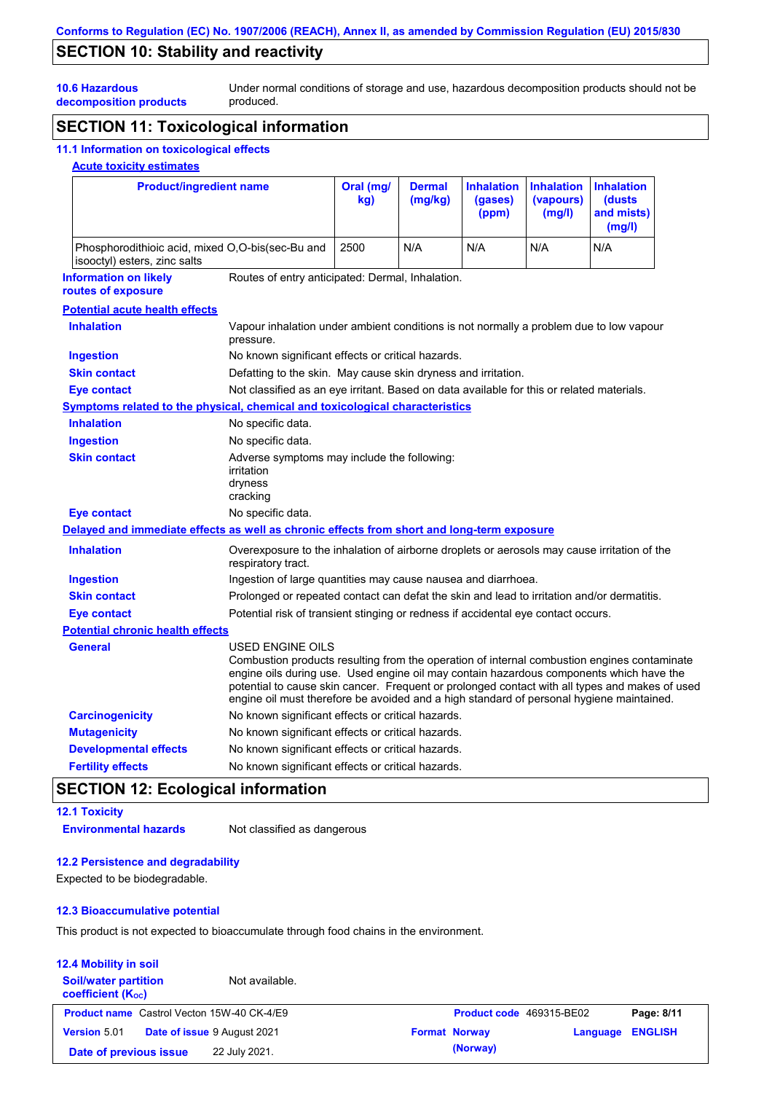# **SECTION 10: Stability and reactivity**

Under normal conditions of storage and use, hazardous decomposition products should not be produced.

# **decomposition products SECTION 11: Toxicological information**

# **11.1 Information on toxicological effects**

### **Acute toxicity estimates**

**10.6 Hazardous** 

| <b>Product/ingredient name</b>                                                             |                                                                                                                                                                                                                                                                                                                                                                                                                 | Oral (mg/<br>kg) | <b>Dermal</b><br>(mg/kg) | <b>Inhalation</b><br>(gases)<br>(ppm) | <b>Inhalation</b><br>(vapours)<br>(mg/l) | <b>Inhalation</b><br>(dusts)<br>and mists)<br>(mg/l) |
|--------------------------------------------------------------------------------------------|-----------------------------------------------------------------------------------------------------------------------------------------------------------------------------------------------------------------------------------------------------------------------------------------------------------------------------------------------------------------------------------------------------------------|------------------|--------------------------|---------------------------------------|------------------------------------------|------------------------------------------------------|
| Phosphorodithioic acid, mixed O,O-bis(sec-Bu and<br>isooctyl) esters, zinc salts           |                                                                                                                                                                                                                                                                                                                                                                                                                 | 2500             | N/A                      | N/A                                   | N/A                                      | N/A                                                  |
| <b>Information on likely</b><br>routes of exposure                                         | Routes of entry anticipated: Dermal, Inhalation.                                                                                                                                                                                                                                                                                                                                                                |                  |                          |                                       |                                          |                                                      |
| <b>Potential acute health effects</b>                                                      |                                                                                                                                                                                                                                                                                                                                                                                                                 |                  |                          |                                       |                                          |                                                      |
| <b>Inhalation</b>                                                                          | Vapour inhalation under ambient conditions is not normally a problem due to low vapour<br>pressure.                                                                                                                                                                                                                                                                                                             |                  |                          |                                       |                                          |                                                      |
| <b>Ingestion</b>                                                                           | No known significant effects or critical hazards.                                                                                                                                                                                                                                                                                                                                                               |                  |                          |                                       |                                          |                                                      |
| <b>Skin contact</b>                                                                        | Defatting to the skin. May cause skin dryness and irritation.                                                                                                                                                                                                                                                                                                                                                   |                  |                          |                                       |                                          |                                                      |
| <b>Eye contact</b>                                                                         | Not classified as an eye irritant. Based on data available for this or related materials.                                                                                                                                                                                                                                                                                                                       |                  |                          |                                       |                                          |                                                      |
| Symptoms related to the physical, chemical and toxicological characteristics               |                                                                                                                                                                                                                                                                                                                                                                                                                 |                  |                          |                                       |                                          |                                                      |
| <b>Inhalation</b>                                                                          | No specific data.                                                                                                                                                                                                                                                                                                                                                                                               |                  |                          |                                       |                                          |                                                      |
| <b>Ingestion</b>                                                                           | No specific data.                                                                                                                                                                                                                                                                                                                                                                                               |                  |                          |                                       |                                          |                                                      |
| <b>Skin contact</b>                                                                        | Adverse symptoms may include the following:<br>irritation<br>dryness<br>cracking                                                                                                                                                                                                                                                                                                                                |                  |                          |                                       |                                          |                                                      |
| <b>Eye contact</b>                                                                         | No specific data.                                                                                                                                                                                                                                                                                                                                                                                               |                  |                          |                                       |                                          |                                                      |
| Delayed and immediate effects as well as chronic effects from short and long-term exposure |                                                                                                                                                                                                                                                                                                                                                                                                                 |                  |                          |                                       |                                          |                                                      |
| <b>Inhalation</b>                                                                          | Overexposure to the inhalation of airborne droplets or aerosols may cause irritation of the<br>respiratory tract.                                                                                                                                                                                                                                                                                               |                  |                          |                                       |                                          |                                                      |
| <b>Ingestion</b>                                                                           | Ingestion of large quantities may cause nausea and diarrhoea.                                                                                                                                                                                                                                                                                                                                                   |                  |                          |                                       |                                          |                                                      |
| <b>Skin contact</b>                                                                        | Prolonged or repeated contact can defat the skin and lead to irritation and/or dermatitis.                                                                                                                                                                                                                                                                                                                      |                  |                          |                                       |                                          |                                                      |
| <b>Eye contact</b>                                                                         | Potential risk of transient stinging or redness if accidental eye contact occurs.                                                                                                                                                                                                                                                                                                                               |                  |                          |                                       |                                          |                                                      |
| <b>Potential chronic health effects</b>                                                    |                                                                                                                                                                                                                                                                                                                                                                                                                 |                  |                          |                                       |                                          |                                                      |
| <b>General</b>                                                                             | <b>USED ENGINE OILS</b><br>Combustion products resulting from the operation of internal combustion engines contaminate<br>engine oils during use. Used engine oil may contain hazardous components which have the<br>potential to cause skin cancer. Frequent or prolonged contact with all types and makes of used<br>engine oil must therefore be avoided and a high standard of personal hygiene maintained. |                  |                          |                                       |                                          |                                                      |
| <b>Carcinogenicity</b>                                                                     | No known significant effects or critical hazards.                                                                                                                                                                                                                                                                                                                                                               |                  |                          |                                       |                                          |                                                      |
| <b>Mutagenicity</b>                                                                        | No known significant effects or critical hazards.                                                                                                                                                                                                                                                                                                                                                               |                  |                          |                                       |                                          |                                                      |
| <b>Developmental effects</b>                                                               | No known significant effects or critical hazards.                                                                                                                                                                                                                                                                                                                                                               |                  |                          |                                       |                                          |                                                      |
| <b>Fertility effects</b>                                                                   | No known significant effects or critical hazards.                                                                                                                                                                                                                                                                                                                                                               |                  |                          |                                       |                                          |                                                      |

# **SECTION 12: Ecological information**

# **12.1 Toxicity Environmental hazards** Not classified as dangerous

### **12.2 Persistence and degradability**

Expected to be biodegradable.

### **12.3 Bioaccumulative potential**

This product is not expected to bioaccumulate through food chains in the environment.

| <b>12.4 Mobility in soil</b>                                  |                                                   |                          |          |                |
|---------------------------------------------------------------|---------------------------------------------------|--------------------------|----------|----------------|
| <b>Soil/water partition</b><br>coefficient (K <sub>oc</sub> ) | Not available.                                    |                          |          |                |
|                                                               | <b>Product name</b> Castrol Vecton 15W-40 CK-4/E9 | Product code 469315-BE02 |          | Page: 8/11     |
| <b>Version 5.01</b>                                           | Date of issue 9 August 2021                       | <b>Format Norway</b>     | Language | <b>ENGLISH</b> |
| Date of previous issue                                        | 22 July 2021.                                     | (Norway)                 |          |                |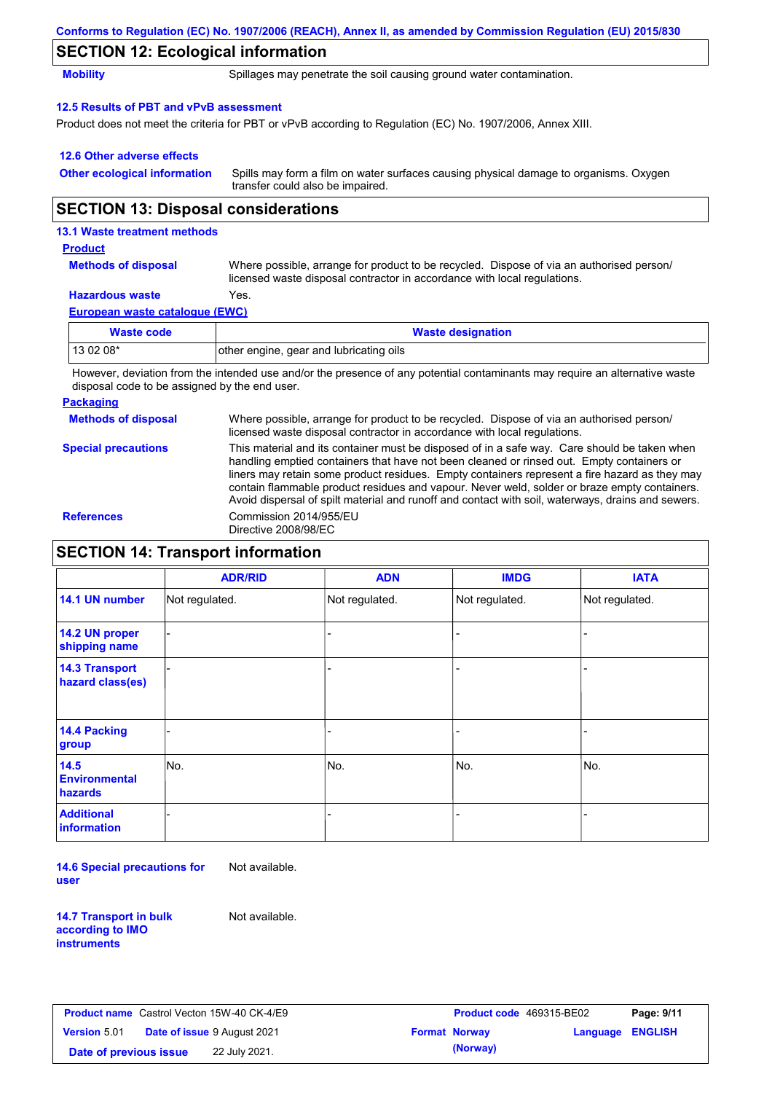| Conforms to Regulation (EC) No. 1907/2006 (REACH), Annex II, as amended by Commission Regulation (EU) 2015/830 |                                                                                                                                                                      |  |  |  |  |  |
|----------------------------------------------------------------------------------------------------------------|----------------------------------------------------------------------------------------------------------------------------------------------------------------------|--|--|--|--|--|
| <b>SECTION 12: Ecological information</b>                                                                      |                                                                                                                                                                      |  |  |  |  |  |
| <b>Mobility</b>                                                                                                | Spillages may penetrate the soil causing ground water contamination.                                                                                                 |  |  |  |  |  |
| 12.5 Results of PBT and vPvB assessment                                                                        |                                                                                                                                                                      |  |  |  |  |  |
|                                                                                                                | Product does not meet the criteria for PBT or vPvB according to Regulation (EC) No. 1907/2006, Annex XIII.                                                           |  |  |  |  |  |
| 12.6 Other adverse effects                                                                                     |                                                                                                                                                                      |  |  |  |  |  |
| <b>Other ecological information</b>                                                                            | Spills may form a film on water surfaces causing physical damage to organisms. Oxygen<br>transfer could also be impaired.                                            |  |  |  |  |  |
| <b>SECTION 13: Disposal considerations</b>                                                                     |                                                                                                                                                                      |  |  |  |  |  |
| 13.1 Waste treatment methods                                                                                   |                                                                                                                                                                      |  |  |  |  |  |
| <b>Product</b>                                                                                                 |                                                                                                                                                                      |  |  |  |  |  |
| <b>Methods of disposal</b>                                                                                     | Where possible, arrange for product to be recycled. Dispose of via an authorised person/<br>licensed waste disposal contractor in accordance with local regulations. |  |  |  |  |  |
| <b>Hazardous waste</b>                                                                                         | Yes.                                                                                                                                                                 |  |  |  |  |  |
| European waste catalogue (EWC)                                                                                 |                                                                                                                                                                      |  |  |  |  |  |

| Waste code                                                                                                                  | <b>Waste designation</b>                |  |  |  |
|-----------------------------------------------------------------------------------------------------------------------------|-----------------------------------------|--|--|--|
| $130208*$                                                                                                                   | other engine, gear and lubricating oils |  |  |  |
| However, deviation from the intended use and/or the presence of ony patential contaminante may require an elternative worte |                                         |  |  |  |

However, deviation from the intended use and/or the presence of any potential contaminants may require an alternative waste disposal code to be assigned by the end user.

### **Packaging**

**Methods of disposal Special precautions** Where possible, arrange for product to be recycled. Dispose of via an authorised person/ licensed waste disposal contractor in accordance with local regulations. This material and its container must be disposed of in a safe way. Care should be taken when handling emptied containers that have not been cleaned or rinsed out. Empty containers or

liners may retain some product residues. Empty containers represent a fire hazard as they may contain flammable product residues and vapour. Never weld, solder or braze empty containers. Avoid dispersal of spilt material and runoff and contact with soil, waterways, drains and sewers. **References** Commission 2014/955/EU

Directive 2008/98/EC

# **SECTION 14: Transport information**

|                                           | <b>ADR/RID</b> | <b>ADN</b>     | <b>IMDG</b>    | <b>IATA</b>    |  |
|-------------------------------------------|----------------|----------------|----------------|----------------|--|
| 14.1 UN number                            | Not regulated. | Not regulated. | Not regulated. | Not regulated. |  |
| 14.2 UN proper<br>shipping name           |                |                |                |                |  |
| <b>14.3 Transport</b><br>hazard class(es) |                |                |                |                |  |
| 14.4 Packing<br>group                     |                |                |                |                |  |
| 14.5<br><b>Environmental</b><br>hazards   | No.            | No.            | No.            | No.            |  |
| <b>Additional</b><br><b>information</b>   |                |                |                |                |  |

**14.6 Special precautions for user** Not available.

**14.7 Transport in bulk according to IMO instruments**

Not available.

| <b>Product name</b> Castrol Vecton 15W-40 CK-4/E9 |                                    | <b>Product code</b>  |
|---------------------------------------------------|------------------------------------|----------------------|
| <b>Version 5.01</b>                               | <b>Date of issue 9 August 2021</b> | <b>Format Norway</b> |
| Date of previous issue                            | 22 July 2021.                      | (Norway)             |

| Castrol Vecton 15W-40 CK-4/E9 |                                    |  | <b>Product code</b> 469315-BE02 | Page: 9/11              |  |
|-------------------------------|------------------------------------|--|---------------------------------|-------------------------|--|
|                               | <b>Date of issue 9 August 2021</b> |  | <b>Format Norway</b>            | <b>Language ENGLISH</b> |  |
| pus issuel                    | 22 July 2021.                      |  | (Norway)                        |                         |  |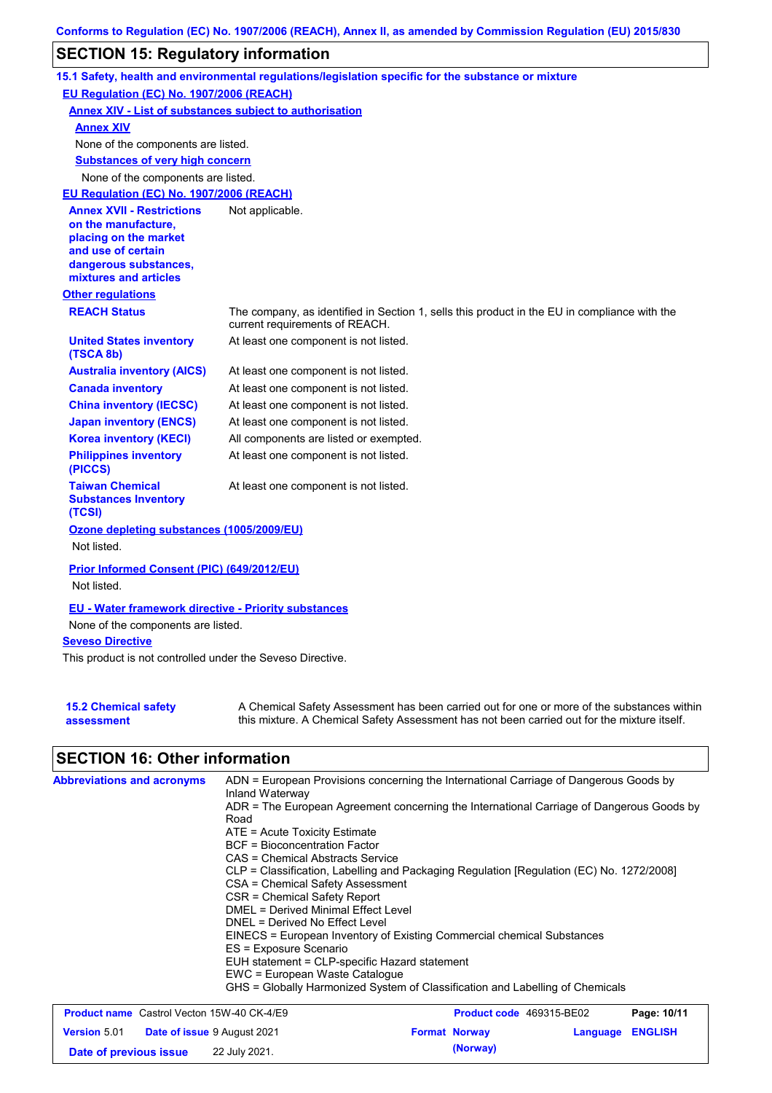# **SECTION 15: Regulatory information**

|                                                                                                                                                          | 15.1 Safety, health and environmental regulations/legislation specific for the substance or mixture                            |
|----------------------------------------------------------------------------------------------------------------------------------------------------------|--------------------------------------------------------------------------------------------------------------------------------|
| EU Regulation (EC) No. 1907/2006 (REACH)                                                                                                                 |                                                                                                                                |
| <b>Annex XIV - List of substances subject to authorisation</b>                                                                                           |                                                                                                                                |
| <b>Annex XIV</b>                                                                                                                                         |                                                                                                                                |
| None of the components are listed.                                                                                                                       |                                                                                                                                |
| <b>Substances of very high concern</b>                                                                                                                   |                                                                                                                                |
| None of the components are listed.                                                                                                                       |                                                                                                                                |
| EU Regulation (EC) No. 1907/2006 (REACH)                                                                                                                 |                                                                                                                                |
| <b>Annex XVII - Restrictions</b><br>on the manufacture,<br>placing on the market<br>and use of certain<br>dangerous substances,<br>mixtures and articles | Not applicable.                                                                                                                |
| <b>Other regulations</b>                                                                                                                                 |                                                                                                                                |
| <b>REACH Status</b>                                                                                                                                      | The company, as identified in Section 1, sells this product in the EU in compliance with the<br>current requirements of REACH. |
| <b>United States inventory</b><br>(TSCA 8b)                                                                                                              | At least one component is not listed.                                                                                          |
| <b>Australia inventory (AICS)</b>                                                                                                                        | At least one component is not listed.                                                                                          |
| <b>Canada inventory</b>                                                                                                                                  | At least one component is not listed.                                                                                          |
| <b>China inventory (IECSC)</b>                                                                                                                           | At least one component is not listed.                                                                                          |
| <b>Japan inventory (ENCS)</b>                                                                                                                            | At least one component is not listed.                                                                                          |
| <b>Korea inventory (KECI)</b>                                                                                                                            | All components are listed or exempted.                                                                                         |
| <b>Philippines inventory</b><br>(PICCS)                                                                                                                  | At least one component is not listed.                                                                                          |
| <b>Taiwan Chemical</b><br><b>Substances Inventory</b><br>(TCSI)                                                                                          | At least one component is not listed.                                                                                          |
| Ozone depleting substances (1005/2009/EU)                                                                                                                |                                                                                                                                |
| Not listed.                                                                                                                                              |                                                                                                                                |
| Prior Informed Consent (PIC) (649/2012/EU)                                                                                                               |                                                                                                                                |
| Not listed.                                                                                                                                              |                                                                                                                                |
| <b>EU - Water framework directive - Priority substances</b>                                                                                              |                                                                                                                                |
| None of the components are listed.                                                                                                                       |                                                                                                                                |
| <b>Seveso Directive</b>                                                                                                                                  |                                                                                                                                |
| This product is not controlled under the Seveso Directive.                                                                                               |                                                                                                                                |

| <b>15.2 Chemical safety</b> | A Chemical Safety Assessment has been carried out for one or more of the substances within  |
|-----------------------------|---------------------------------------------------------------------------------------------|
| assessment                  | this mixture. A Chemical Safety Assessment has not been carried out for the mixture itself. |

# **SECTION 16: Other information**

| <b>Abbreviations and acronyms</b>                 | ADN = European Provisions concerning the International Carriage of Dangerous Goods by<br>Inland Waterway<br>ADR = The European Agreement concerning the International Carriage of Dangerous Goods by<br>Road<br>$ATE = Acute Toxicity Estimate$<br><b>BCF</b> = Bioconcentration Factor<br>CAS = Chemical Abstracts Service<br>CLP = Classification, Labelling and Packaging Regulation [Regulation (EC) No. 1272/2008]<br>CSA = Chemical Safety Assessment<br>CSR = Chemical Safety Report<br>DMEL = Derived Minimal Effect Level<br>DNEL = Derived No Effect Level<br>EINECS = European Inventory of Existing Commercial chemical Substances<br>ES = Exposure Scenario<br>EUH statement = CLP-specific Hazard statement<br>EWC = European Waste Cataloque |  |                          |          |                |
|---------------------------------------------------|-------------------------------------------------------------------------------------------------------------------------------------------------------------------------------------------------------------------------------------------------------------------------------------------------------------------------------------------------------------------------------------------------------------------------------------------------------------------------------------------------------------------------------------------------------------------------------------------------------------------------------------------------------------------------------------------------------------------------------------------------------------|--|--------------------------|----------|----------------|
|                                                   | GHS = Globally Harmonized System of Classification and Labelling of Chemicals                                                                                                                                                                                                                                                                                                                                                                                                                                                                                                                                                                                                                                                                               |  |                          |          |                |
| <b>Product name</b> Castrol Vecton 15W-40 CK-4/E9 |                                                                                                                                                                                                                                                                                                                                                                                                                                                                                                                                                                                                                                                                                                                                                             |  | Product code 469315-BE02 |          | Page: 10/11    |
| Version 5.01 Date of issue 9 August 2021          |                                                                                                                                                                                                                                                                                                                                                                                                                                                                                                                                                                                                                                                                                                                                                             |  | <b>Format Norway</b>     | Language | <b>ENGLISH</b> |

**Date of previous issue** 22 July 2021. **(Norway) (Norway)**